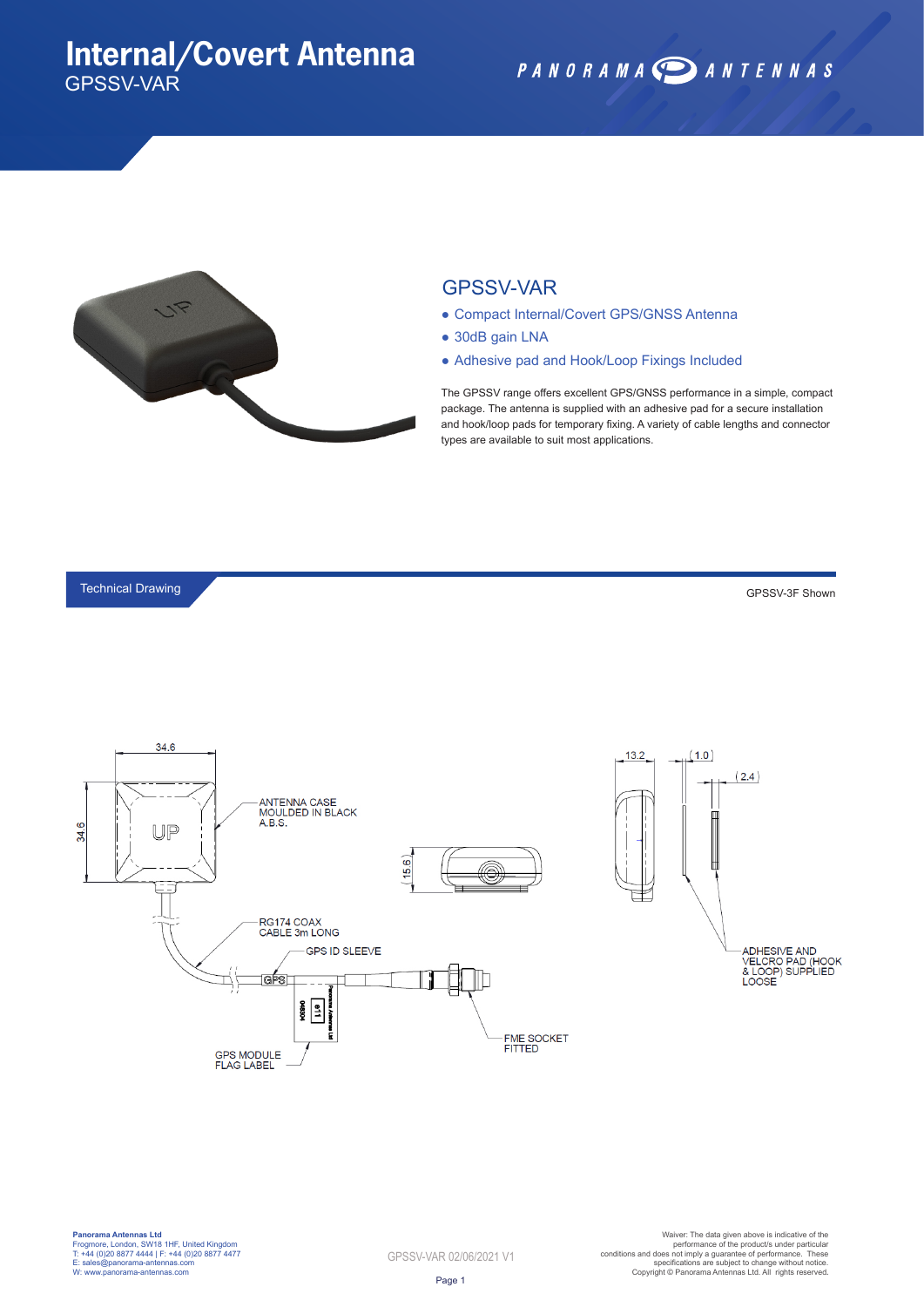## **Internal/Covert Antenna** GPSSV-VAR

PANORAMA DANTENNAS



#### GPSSV-VAR

- Compact Internal/Covert GPS/GNSS Antenna
- 30dB gain LNA
- Adhesive pad and Hook/Loop Fixings Included

The GPSSV range offers excellent GPS/GNSS performance in a simple, compact package. The antenna is supplied with an adhesive pad for a secure installation and hook/loop pads for temporary fixing. A variety of cable lengths and connector types are available to suit most applications.

#### Technical Drawing

GPSSV-3F Shown